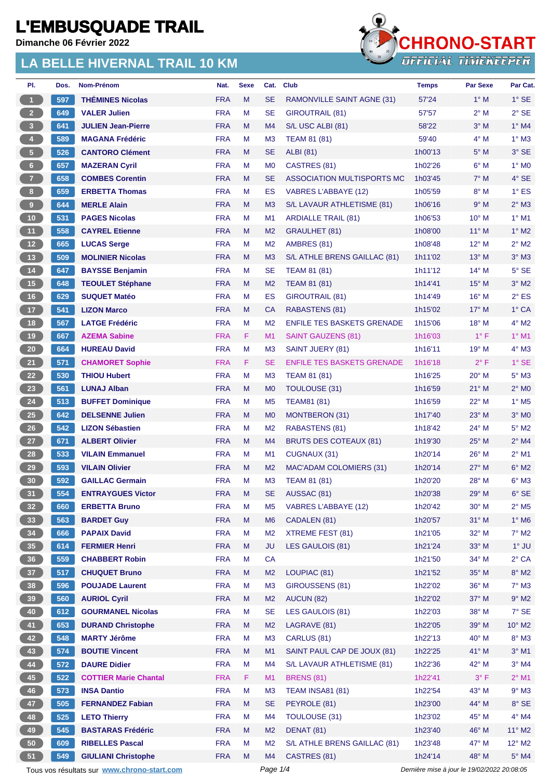**Dimanche 06 Février 2022**



| PI.                     | Dos. | Nom-Prénom                                  | Nat.       | <b>Sexe</b> | Cat.           | <b>Club</b>                       | <b>Temps</b>                                | <b>Par Sexe</b> | Par Cat.                   |
|-------------------------|------|---------------------------------------------|------------|-------------|----------------|-----------------------------------|---------------------------------------------|-----------------|----------------------------|
| $\overline{1}$          | 597  | <b>THÉMINES Nicolas</b>                     | <b>FRA</b> | M           | <b>SE</b>      | RAMONVILLE SAINT AGNE (31)        | 57'24                                       | $1^\circ$ M     | $1^\circ$ SE               |
| 2 <sup>2</sup>          | 649  | <b>VALER Julien</b>                         | <b>FRA</b> | М           | <b>SE</b>      | GIROUTRAIL (81)                   | 57'57                                       | 2° M            | $2^{\circ}$ SE             |
| $\overline{\mathbf{3}}$ | 641  | <b>JULIEN Jean-Pierre</b>                   | <b>FRA</b> | M           | M4             | S/L USC ALBI (81)                 | 58'22                                       | $3°$ M          | $1^\circ$ M4               |
| $\overline{4}$          | 589  | <b>MAGANA Frédéric</b>                      | <b>FRA</b> | М           | M <sub>3</sub> | <b>TEAM 81 (81)</b>               | 59'40                                       | $4^\circ$ M     | $1^\circ$ M3               |
| 5 <sub>1</sub>          | 526  | <b>CANTORO Clément</b>                      | <b>FRA</b> | M           | <b>SE</b>      | <b>ALBI</b> (81)                  | 1h00'13                                     | $5^\circ$ M     | $3^\circ$ SE               |
| 6 <sub>o</sub>          | 657  | <b>MAZERAN Cyril</b>                        | <b>FRA</b> | М           | M <sub>0</sub> | CASTRES (81)                      | 1h02'26                                     | $6^{\circ}$ M   | $1^\circ$ MO               |
| $\boldsymbol{J}$        | 658  | <b>COMBES Corentin</b>                      | <b>FRA</b> | M           | <b>SE</b>      | ASSOCIATION MULTISPORTS MC        | 1h03'45                                     | $7^\circ$ M     | $4^\circ$ SE               |
| $8\phantom{.}$          | 659  | <b>ERBETTA Thomas</b>                       | <b>FRA</b> | М           | ES             | <b>VABRES L'ABBAYE (12)</b>       | 1h05'59                                     | 8° M            | $1^\circ$ ES               |
|                         | 644  | <b>MERLE Alain</b>                          | <b>FRA</b> | M           | M <sub>3</sub> | S/L LAVAUR ATHLETISME (81)        | 1h06'16                                     | 9° M            | $2^{\circ}$ M3             |
| 10 <sup>°</sup>         | 531  | <b>PAGES Nicolas</b>                        | <b>FRA</b> | М           | M1             | <b>ARDIALLE TRAIL (81)</b>        | 1h06'53                                     | $10^{\circ}$ M  | $1°$ M1                    |
| 11                      | 558  | <b>CAYREL Etienne</b>                       | <b>FRA</b> | M           | M <sub>2</sub> | GRAULHET (81)                     | 1h08'00                                     | $11^{\circ}$ M  | $1^\circ$ M2               |
| 12                      | 665  | <b>LUCAS Serge</b>                          | <b>FRA</b> | М           | M <sub>2</sub> | AMBRES (81)                       | 1h08'48                                     | $12^{\circ}$ M  | $2^{\circ}$ M2             |
| 13                      | 509  | <b>MOLINIER Nicolas</b>                     | <b>FRA</b> | M           | M <sub>3</sub> | S/L ATHLE BRENS GAILLAC (81)      | 1h11'02                                     | $13^\circ$ M    | $3°$ M $3$                 |
| $14$                    | 647  | <b>BAYSSE Benjamin</b>                      | <b>FRA</b> | М           | <b>SE</b>      | TEAM 81 (81)                      | 1h11'12                                     | $14^{\circ}$ M  | $5^\circ$ SE               |
| 15                      | 648  | <b>TEOULET Stéphane</b>                     | <b>FRA</b> | M           | M <sub>2</sub> | <b>TEAM 81 (81)</b>               | 1h14'41                                     | 15° M           | $3°$ M2                    |
| 16                      | 629  | <b>SUQUET Matéo</b>                         | <b>FRA</b> | М           | ES             | <b>GIROUTRAIL (81)</b>            | 1h14'49                                     | $16^{\circ}$ M  | $2^{\circ}$ ES             |
| 17 <sup>2</sup>         | 541  | <b>LIZON Marco</b>                          | <b>FRA</b> | M           | <b>CA</b>      | <b>RABASTENS (81)</b>             | 1h15'02                                     | $17^{\circ}$ M  | $1^\circ$ CA               |
| 18                      | 567  | <b>LATGE Frédéric</b>                       | <b>FRA</b> | М           | M <sub>2</sub> | <b>ENFILE TES BASKETS GRENADE</b> | 1h15'06                                     | $18^{\circ}$ M  | $4^\circ$ M2               |
| 19                      | 667  | <b>AZEMA Sabine</b>                         | <b>FRA</b> | F.          | M1             | SAINT GAUZENS (81)                | 1h16'03                                     | $1^{\circ}$ F   | $1^\circ$ M1               |
| 20 <sub>2</sub>         | 664  | <b>HUREAU David</b>                         | <b>FRA</b> | М           | M <sub>3</sub> | SAINT JUERY (81)                  | 1h16'11                                     | $19^{\circ}$ M  | $4^\circ$ M3               |
| 21                      | 571  | <b>CHAMORET Sophie</b>                      | <b>FRA</b> | F.          | <b>SE</b>      | <b>ENFILE TES BASKETS GRENADE</b> | 1h16'18                                     | $2^{\circ}$ F   | $1^\circ$ SE               |
| 22                      | 530  | <b>THIOU Hubert</b>                         | <b>FRA</b> | М           | M <sub>3</sub> | TEAM 81 (81)                      | 1h16'25                                     | $20^\circ$ M    | $5^\circ$ M3               |
| 23                      | 561  | <b>LUNAJ Alban</b>                          | <b>FRA</b> | M           | M <sub>0</sub> | <b>TOULOUSE (31)</b>              | 1h16'59                                     | $21^{\circ}$ M  | $2^{\circ}$ MO             |
| 24                      | 513  | <b>BUFFET Dominique</b>                     | <b>FRA</b> | М           | M <sub>5</sub> | <b>TEAM81 (81)</b>                | 1h16'59                                     | $22^{\circ}$ M  | $1^\circ$ M <sub>5</sub>   |
| 25                      | 642  | <b>DELSENNE Julien</b>                      | <b>FRA</b> | M           | M <sub>0</sub> | MONTBERON (31)                    | 1h17'40                                     | $23^\circ$ M    | $3^\circ$ MO               |
| 26                      | 542  | <b>LIZON Sébastien</b>                      | <b>FRA</b> | М           | M <sub>2</sub> | RABASTENS (81)                    | 1h18'42                                     | $24^{\circ}$ M  | $5^\circ$ M2               |
| 27                      | 671  | <b>ALBERT Olivier</b>                       | <b>FRA</b> | M           | M4             | <b>BRUTS DES COTEAUX (81)</b>     | 1h19'30                                     | $25^{\circ}$ M  | $2^{\circ}$ M4             |
| 28                      | 533  | <b>VILAIN Emmanuel</b>                      | <b>FRA</b> | Μ           | M1             | CUGNAUX (31)                      | 1h20'14                                     | 26° M           | $2^{\circ}$ M1             |
| 29                      | 593  | <b>VILAIN Olivier</b>                       | <b>FRA</b> | M           | M <sub>2</sub> | <b>MAC'ADAM COLOMIERS (31)</b>    | 1h20'14                                     | $27^\circ$ M    | $6^\circ$ M2               |
| 30                      | 592  | <b>GAILLAC Germain</b>                      | <b>FRA</b> | М           | M <sub>3</sub> | <b>TEAM 81 (81)</b>               | 1h20'20                                     | $28^{\circ}$ M  | $6^\circ$ M3               |
| 31)                     | 554  | <b>ENTRAYGUES Victor</b>                    | <b>FRA</b> | м           | <b>SE</b>      | AUSSAC (81)                       | 1h20'38                                     | 29° M           | $6^{\circ}$ SE             |
| 32 <sub>2</sub>         | 660  | <b>ERBETTA Bruno</b>                        | <b>FRA</b> | M           | M <sub>5</sub> | <b>VABRES L'ABBAYE (12)</b>       | 1h20'42                                     | $30^\circ$ M    | $2^{\circ}$ M <sub>5</sub> |
| 33                      | 563  | <b>BARDET Guy</b>                           | <b>FRA</b> | M           | M <sub>6</sub> | CADALEN (81)                      | 1h20'57                                     | $31^\circ$ M    | $1^\circ$ M6               |
| 34                      | 666  | <b>PAPAIX David</b>                         | <b>FRA</b> | M           | M <sub>2</sub> | XTREME FEST (81)                  | 1h21'05                                     | 32° M           | $7^\circ$ M2               |
| 35 <sub>5</sub>         | 614  | <b>FERMIER Henri</b>                        | <b>FRA</b> | M           | <b>JU</b>      | LES GAULOIS (81)                  | 1h21'24                                     | $33^\circ$ M    | $1^\circ$ JU               |
| 36                      | 559  | <b>CHABBERT Robin</b>                       | <b>FRA</b> | М           | CA             |                                   | 1h21'50                                     | 34° M           | $2^{\circ}$ CA             |
| 37 <sup>°</sup>         | 517  | <b>CHUQUET Bruno</b>                        | <b>FRA</b> | M           | M <sub>2</sub> | LOUPIAC (81)                      | 1h21'52                                     | $35^\circ$ M    | $8^{\circ}$ M2             |
| 38                      | 596  | <b>POUJADE Laurent</b>                      | <b>FRA</b> | М           | M <sub>3</sub> | GIROUSSENS (81)                   | 1h22'02                                     | $36^\circ$ M    | $7^\circ$ M3               |
| 39                      | 560  | <b>AURIOL Cyril</b>                         | <b>FRA</b> | M           | M <sub>2</sub> | AUCUN (82)                        | 1h22'02                                     | 37° M           | $9°$ M2                    |
| 40                      | 612  | <b>GOURMANEL Nicolas</b>                    | <b>FRA</b> | М           | <b>SE</b>      | LES GAULOIS (81)                  | 1h22'03                                     | 38° M           | $7°$ SE                    |
| 41                      | 653  | <b>DURAND Christophe</b>                    | <b>FRA</b> | M           | M <sub>2</sub> | LAGRAVE (81)                      | 1h22'05                                     | 39° M           | $10^{\circ}$ M2            |
| 42                      | 548  | <b>MARTY Jérôme</b>                         | <b>FRA</b> | M           | M <sub>3</sub> | CARLUS (81)                       | 1h22'13                                     | 40° M           | 8° M3                      |
| 43                      | 574  | <b>BOUTIE Vincent</b>                       | <b>FRA</b> | M           | M1             | SAINT PAUL CAP DE JOUX (81)       | 1h22'25                                     | $41^{\circ}$ M  | $3^\circ$ M1               |
| 44                      | 572  | <b>DAURE Didier</b>                         | <b>FRA</b> | М           | M4             | S/L LAVAUR ATHLETISME (81)        | 1h22'36                                     | 42° M           | $3°$ M4                    |
| 45                      | 522  | <b>COTTIER Marie Chantal</b>                | <b>FRA</b> | F.          | M1             | <b>BRENS (81)</b>                 | 1h22'41                                     | $3^{\circ}$ F   | $2^{\circ}$ M1             |
| 46                      | 573  | <b>INSA Dantio</b>                          | <b>FRA</b> | M           | M <sub>3</sub> | <b>TEAM INSA81 (81)</b>           | 1h22'54                                     | 43° M           | $9°$ M3                    |
| 47                      | 505  | <b>FERNANDEZ Fabian</b>                     | <b>FRA</b> | M           | <b>SE</b>      | PEYROLE (81)                      | 1h23'00                                     | 44° M           | 8° SE                      |
| 48                      | 525  | <b>LETO Thierry</b>                         | <b>FRA</b> | M           | M4             | <b>TOULOUSE (31)</b>              | 1h23'02                                     | 45° M           | $4^\circ$ M4               |
| 49                      | 545  | <b>BASTARAS Frédéric</b>                    | <b>FRA</b> | M           | M <sub>2</sub> | <b>DENAT (81)</b>                 | 1h23'40                                     | 46° M           | $11^{\circ}$ M2            |
| 50                      | 609  | <b>RIBELLES Pascal</b>                      | <b>FRA</b> | M           | M <sub>2</sub> | S/L ATHLE BRENS GAILLAC (81)      | 1h23'48                                     | 47° M           | $12^{\circ}$ M2            |
| 51                      | 549  | <b>GIULIANI Christophe</b>                  | <b>FRA</b> | M           | M4             | CASTRES (81)                      | 1h24'14                                     | 48° M           | $5^\circ$ M4               |
|                         |      | Tous vos résultats sur www.chrono-start.com |            |             | Page 1/4       |                                   | Dernière mise à jour le 19/02/2022 20:08:05 |                 |                            |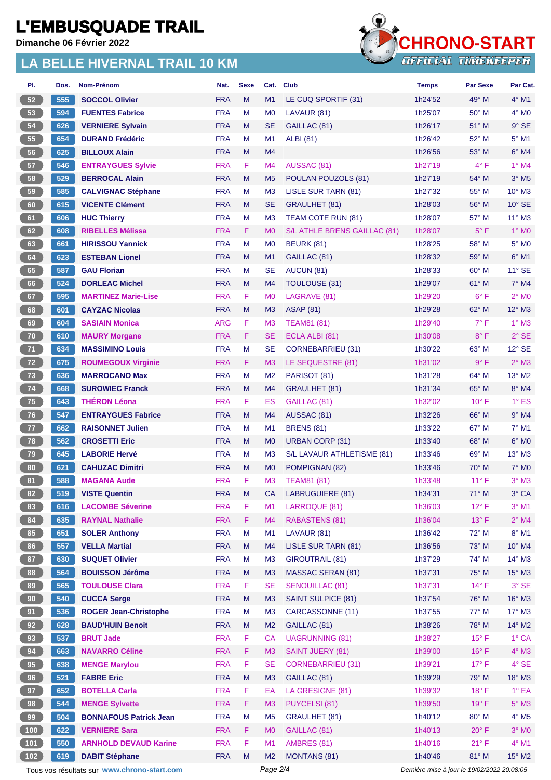**Dimanche 06 Février 2022**



| PI.             | Dos. | Nom-Prénom                                   | Nat.                     | <b>Sexe</b> | Cat.                 | <b>Club</b>                               | <b>Temps</b>                                | <b>Par Sexe</b> | Par Cat.          |
|-----------------|------|----------------------------------------------|--------------------------|-------------|----------------------|-------------------------------------------|---------------------------------------------|-----------------|-------------------|
| 52              | 555  | <b>SOCCOL Olivier</b>                        | <b>FRA</b>               | M           | M1                   | LE CUQ SPORTIF (31)                       | 1h24'52                                     | $49^\circ$ M    | $4^\circ$ M1      |
| 53              | 594  | <b>FUENTES Fabrice</b>                       | <b>FRA</b>               | M           | M <sub>0</sub>       | LAVAUR (81)                               | 1h25'07                                     | 50° M           | $4^\circ$ MO      |
| 54              | 626  | <b>VERNIERE Sylvain</b>                      | <b>FRA</b>               | M           | <b>SE</b>            | GAILLAC (81)                              | 1h26'17                                     | $51^\circ$ M    | $9°$ SE           |
| 55              | 654  | <b>DURAND Frédéric</b>                       | <b>FRA</b>               | M           | M1                   | <b>ALBI</b> (81)                          | 1h26'42                                     | 52° M           | $5^{\circ}$ M1    |
| 56              | 625  | <b>BILLOUX Alain</b>                         | <b>FRA</b>               | M           | M4                   |                                           | 1h26'56                                     | 53° M           | $6°$ M4           |
| 57              | 546  | <b>ENTRAYGUES Sylvie</b>                     | <b>FRA</b>               | F.          | M4                   | AUSSAC (81)                               | 1h27'19                                     | $4^{\circ}$ F   | $1^\circ$ M4      |
| 58              | 529  | <b>BERROCAL Alain</b>                        | <b>FRA</b>               | M           | M <sub>5</sub>       | POULAN POUZOLS (81)                       | 1h27'19                                     | 54° M           | $3^\circ$ M5      |
| 59              | 585  | <b>CALVIGNAC Stéphane</b>                    | <b>FRA</b>               | М           | M <sub>3</sub>       | <b>LISLE SUR TARN (81)</b>                | 1h27'32                                     | 55° M           | $10^{\circ}$ M3   |
| 60              | 615  | <b>VICENTE Clément</b>                       | <b>FRA</b>               | M           | <b>SE</b>            | <b>GRAULHET (81)</b>                      | 1h28'03                                     | $56^{\circ}$ M  | $10^{\circ}$ SE   |
| 61              | 606  | <b>HUC Thierry</b>                           | <b>FRA</b>               | M           | M <sub>3</sub>       | TEAM COTE RUN (81)                        | 1h28'07                                     | 57° M           | $11^{\circ}$ M3   |
| 62              | 608  | <b>RIBELLES Mélissa</b>                      | <b>FRA</b>               | F.          | M <sub>0</sub>       | S/L ATHLE BRENS GAILLAC (81)              | 1h28'07                                     | $5^{\circ}$ F   | 1° M <sub>0</sub> |
| 63              | 661  | <b>HIRISSOU Yannick</b>                      | <b>FRA</b>               | M           | M <sub>0</sub>       | <b>BEURK (81)</b>                         | 1h28'25                                     | 58° M           | $5^\circ$ MO      |
| 64              | 623  | <b>ESTEBAN Lionel</b>                        | <b>FRA</b>               | M           | M1                   | GAILLAC (81)                              | 1h28'32                                     | 59° M           | $6^{\circ}$ M1    |
| 65              | 587  | <b>GAU Florian</b>                           | <b>FRA</b>               | М           | <b>SE</b>            | AUCUN (81)                                | 1h28'33                                     | $60^\circ$ M    | $11^{\circ}$ SE   |
| 66              | 524  | <b>DORLEAC Michel</b>                        | <b>FRA</b>               | M           | M4                   | <b>TOULOUSE (31)</b>                      | 1h29'07                                     | $61^\circ$ M    | 7° M4             |
| 67              | 595  | <b>MARTINEZ Marie-Lise</b>                   | <b>FRA</b>               | F.          | M <sub>0</sub>       | LAGRAVE (81)                              | 1h29'20                                     | $6^{\circ}$ F   | $2^{\circ}$ MO    |
| 68              | 601  | <b>CAYZAC Nicolas</b>                        | <b>FRA</b>               | M           | M <sub>3</sub>       | <b>ASAP (81)</b>                          | 1h29'28                                     | $62^{\circ}$ M  | 12° M3            |
| 69              | 604  | <b>SASIAIN Monica</b>                        | <b>ARG</b>               | F.          | M <sub>3</sub>       | <b>TEAM81 (81)</b>                        | 1h29'40                                     | $7^\circ$ F     | $1^\circ$ M3      |
| 70              | 610  | <b>MAURY Morgane</b>                         | <b>FRA</b>               | F.          | <b>SE</b>            | ECLA ALBI (81)                            | 1h30'08                                     | $8^{\circ}$ F   | $2°$ SE           |
| 71              | 634  | <b>MASSIMINO Louis</b>                       | <b>FRA</b>               | M           | <b>SE</b>            | CORNEBARRIEU (31)                         | 1h30'22                                     | 63° M           | $12^{\circ}$ SE   |
| 72              | 675  | <b>ROUMEGOUX Virginie</b>                    | <b>FRA</b>               | F.          | M <sub>3</sub>       | LE SEQUESTRE (81)                         | 1h31'02                                     | $9^{\circ}$ F   | $2^{\circ}$ M3    |
| 73              | 636  | <b>MARROCANO Max</b>                         | <b>FRA</b>               | M           | M <sub>2</sub>       | PARISOT (81)                              | 1h31'28                                     | 64° M           | 13° M2            |
| 74              | 668  | <b>SUROWIEC Franck</b>                       | <b>FRA</b>               | M           | M4                   | <b>GRAULHET (81)</b>                      | 1h31'34                                     | $65^\circ$ M    | 8° M4             |
| 75              | 643  | <b>THÉRON Léona</b>                          | <b>FRA</b>               | F           | ES                   | GAILLAC (81)                              | 1h32'02                                     | $10^{\circ}$ F  | $1^\circ$ ES      |
| 76              | 547  | <b>ENTRAYGUES Fabrice</b>                    | <b>FRA</b>               | M           | M4                   | AUSSAC (81)                               | 1h32'26                                     | $66^{\circ}$ M  | $9°$ M4           |
| 77              | 662  | <b>RAISONNET Julien</b>                      | <b>FRA</b>               | M           | M1                   | <b>BRENS (81)</b>                         | 1h33'22                                     | 67° M           | $7°$ M1           |
| 78              | 562  | <b>CROSETTI Eric</b>                         | <b>FRA</b>               | M           | M <sub>0</sub>       | <b>URBAN CORP (31)</b>                    | 1h33'40                                     | $68^\circ$ M    | $6°$ MO           |
| 79              | 645  | <b>LABORIE Hervé</b>                         | <b>FRA</b>               | М           | M <sub>3</sub>       | S/L LAVAUR ATHLETISME (81)                | 1h33'46                                     | 69° M           | 13° M3            |
| 80              | 621  | <b>CAHUZAC Dimitri</b>                       | <b>FRA</b>               | M           | M <sub>0</sub>       | POMPIGNAN (82)                            | 1h33'46                                     | $70^\circ$ M    | $7^\circ$ MO      |
| 81              | 588  | <b>MAGANA Aude</b>                           | <b>FRA</b>               | F           | M <sub>3</sub>       | <b>TEAM81 (81)</b>                        | 1h33'48                                     | $11^{\circ}$ F  | $3°$ M $3$        |
| 82              | 519  | <b>VISTE Quentin</b>                         | <b>FRA</b>               | M           | CA.                  | LABRUGUIERE (81)                          | 1h34'31                                     | $71^\circ$ M    | 3° CA             |
| 83              | 616  | <b>LACOMBE Séverine</b>                      | <b>FRA</b>               | F           | M1                   | LARROQUE (81)                             | 1h36'03                                     | $12^{\circ}$ F  | $3°$ M1           |
| 84              | 635  | <b>RAYNAL Nathalie</b>                       | <b>FRA</b>               | F           | M4                   | <b>RABASTENS (81)</b>                     | 1h36'04                                     | 13° F           | $2^{\circ}$ M4    |
|                 | 651  |                                              |                          | M           |                      |                                           |                                             |                 | 8° M1             |
| 85              |      | <b>SOLER Anthony</b><br><b>VELLA Martial</b> | <b>FRA</b><br><b>FRA</b> | M           | M <sub>1</sub><br>M4 | LAVAUR (81)<br><b>LISLE SUR TARN (81)</b> | 1h36'42<br>1h36'56                          | 72° M<br>73° M  | 10° M4            |
| 86              | 557  | <b>SUQUET Olivier</b>                        |                          |             |                      |                                           |                                             | 74° M           |                   |
| 87              | 630  |                                              | <b>FRA</b>               | М           | M <sub>3</sub>       | <b>GIROUTRAIL (81)</b>                    | 1h37'29                                     |                 | 14° M3            |
| 88              | 564  | <b>BOUISSON Jérôme</b>                       | <b>FRA</b>               | M           | M <sub>3</sub>       | <b>MASSAC SERAN (81)</b>                  | 1h37'31                                     | 75° M           | $15^\circ$ M3     |
| 89              | 565  | <b>TOULOUSE Clara</b>                        | <b>FRA</b>               | F           | <b>SE</b>            | <b>SENOUILLAC (81)</b>                    | 1h37'31                                     | $14^{\circ}$ F  | $3^{\circ}$ SE    |
| 90 <sub>o</sub> | 540  | <b>CUCCA Serge</b>                           | <b>FRA</b>               | M           | M <sub>3</sub>       | <b>SAINT SULPICE (81)</b>                 | 1h37'54                                     | 76° M           | 16° M3            |
| 91              | 536  | <b>ROGER Jean-Christophe</b>                 | <b>FRA</b>               | M           | M <sub>3</sub>       | CARCASSONNE (11)                          | 1h37'55                                     | 77° M           | 17° M3            |
| 92              | 628  | <b>BAUD'HUIN Benoit</b>                      | <b>FRA</b>               | M           | M <sub>2</sub>       | GAILLAC (81)                              | 1h38'26                                     | 78° M           | $14^{\circ}$ M2   |
| 93              | 537  | <b>BRUT Jade</b>                             | <b>FRA</b>               | F           | <b>CA</b>            | <b>UAGRUNNING (81)</b>                    | 1h38'27                                     | $15^{\circ}$ F  | $1^\circ$ CA      |
| 94              | 663  | <b>NAVARRO Céline</b>                        | <b>FRA</b>               | F.          | M <sub>3</sub>       | <b>SAINT JUERY (81)</b>                   | 1h39'00                                     | $16^{\circ}$ F  | $4^\circ$ M3      |
| 95 <sub>o</sub> | 638  | <b>MENGE Marylou</b>                         | <b>FRA</b>               | F           | <b>SE</b>            | <b>CORNEBARRIEU (31)</b>                  | 1h39'21                                     | $17^{\circ}$ F  | $4^{\circ}$ SE    |
| 96              | 521  | <b>FABRE Eric</b>                            | <b>FRA</b>               | M           | M <sub>3</sub>       | GAILLAC (81)                              | 1h39'29                                     | 79° M           | 18° M3            |
| 97              | 652  | <b>BOTELLA Carla</b>                         | <b>FRA</b>               | F           | EA                   | LA GRESIGNE (81)                          | 1h39'32                                     | $18^{\circ}$ F  | $1^{\circ}$ EA    |
| 98              | 544  | <b>MENGE Sylvette</b>                        | <b>FRA</b>               | F           | M <sub>3</sub>       | PUYCELSI (81)                             | 1h39'50                                     | 19° F           | $5^\circ$ M3      |
| 99              | 504  | <b>BONNAFOUS Patrick Jean</b>                | <b>FRA</b>               | M           | M <sub>5</sub>       | <b>GRAULHET (81)</b>                      | 1h40'12                                     | 80° M           | $4^\circ$ M5      |
| 100             | 622  | <b>VERNIERE Sara</b>                         | <b>FRA</b>               | F.          | M <sub>0</sub>       | GAILLAC (81)                              | 1h40'13                                     | $20^{\circ}$ F  | $3^\circ$ MO      |
| 101             | 550  | <b>ARNHOLD DEVAUD Karine</b>                 | <b>FRA</b>               | F           | M1                   | AMBRES (81)                               | 1h40'16                                     | 21° F           | 4° M1             |
| 102             | 619  | <b>DABIT Stéphane</b>                        | <b>FRA</b>               | M           | M <sub>2</sub>       | <b>MONTANS (81)</b>                       | 1h40'46                                     | 81° M           | 15° M2            |
|                 |      | Tous vos résultats sur www.chrono-start.com  |                          |             | Page 2/4             |                                           | Dernière mise à jour le 19/02/2022 20:08:05 |                 |                   |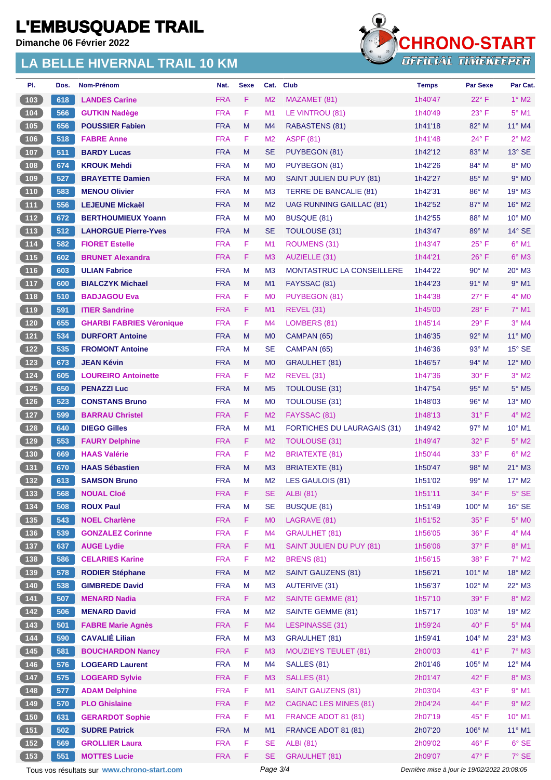**Dimanche 06 Février 2022**



| PI.                                              | Dos. | Nom-Prénom                                        | Nat.       | <b>Sexe</b> | Cat.           | <b>Club</b>                        | <b>Temps</b>                                | <b>Par Sexe</b> | Par Cat.                    |
|--------------------------------------------------|------|---------------------------------------------------|------------|-------------|----------------|------------------------------------|---------------------------------------------|-----------------|-----------------------------|
| $\sqrt{103}$                                     | 618  | <b>LANDES Carine</b>                              | <b>FRA</b> | F           | M <sub>2</sub> | MAZAMET (81)                       | 1h40'47                                     | $22^{\circ}$ F  | $1^\circ$ M2                |
| $\sqrt{104}$                                     | 566  | <b>GUTKIN Nadège</b>                              | <b>FRA</b> | F           | M <sub>1</sub> | LE VINTROU (81)                    | 1h40'49                                     | $23^{\circ}$ F  | $5^\circ$ M1                |
| (105)                                            | 656  | <b>POUSSIER Fabien</b>                            | <b>FRA</b> | M           | M4             | RABASTENS (81)                     | 1h41'18                                     | 82° M           | $11^{\circ}$ M4             |
| 106                                              | 518  | <b>FABRE Anne</b>                                 | <b>FRA</b> | F           | M <sub>2</sub> | <b>ASPF (81)</b>                   | 1h41'48                                     | $24^{\circ}$ F  | $2^{\circ}$ M2              |
| (107)                                            | 511  | <b>BARDY Lucas</b>                                | <b>FRA</b> | M           | <b>SE</b>      | PUYBEGON (81)                      | 1h42'12                                     | $83^\circ$ M    | $13^\circ$ SE               |
| (108)                                            | 674  | <b>KROUK Mehdi</b>                                | <b>FRA</b> | м           | M <sub>0</sub> | PUYBEGON (81)                      | 1h42'26                                     | 84° M           | 8° MO                       |
| (109)                                            | 527  | <b>BRAYETTE Damien</b>                            | <b>FRA</b> | M           | M <sub>0</sub> | SAINT JULIEN DU PUY (81)           | 1h42'27                                     | 85° M           | $9°$ M <sub>0</sub>         |
| (110)                                            | 583  | <b>MENOU Olivier</b>                              | <b>FRA</b> | M           | M <sub>3</sub> | TERRE DE BANCALIE (81)             | 1h42'31                                     | $86^{\circ}$ M  | $19^\circ$ M3               |
| (111)                                            | 556  | <b>LEJEUNE Mickaël</b>                            | <b>FRA</b> | M           | M <sub>2</sub> | UAG RUNNING GAILLAC (81)           | 1h42'52                                     | $87^\circ$ M    | $16^{\circ}$ M2             |
| $\boxed{112}$                                    | 672  | <b>BERTHOUMIEUX Yoann</b>                         | <b>FRA</b> | M           | M <sub>0</sub> | <b>BUSQUE (81)</b>                 | 1h42'55                                     | $88^\circ$ M    | $10^{\circ}$ M <sub>0</sub> |
| (113)                                            | 512  | <b>LAHORGUE Pierre-Yves</b>                       | <b>FRA</b> | M           | <b>SE</b>      | TOULOUSE (31)                      | 1h43'47                                     | 89° M           | $14^{\circ}$ SE             |
| $\begin{array}{c} \hline 114 \end{array}$        | 582  | <b>FIORET Estelle</b>                             | <b>FRA</b> | F           | M <sub>1</sub> | <b>ROUMENS (31)</b>                | 1h43'47                                     | $25^{\circ}$ F  | $6°$ M1                     |
| (115)                                            | 602  | <b>BRUNET Alexandra</b>                           | <b>FRA</b> | F           | M3             | AUZIELLE (31)                      | 1h44'21                                     | $26^{\circ}$ F  | $6^\circ$ M3                |
| 116                                              | 603  | <b>ULIAN Fabrice</b>                              | <b>FRA</b> | M           | M <sub>3</sub> | MONTASTRUC LA CONSEILLERE          | 1h44'22                                     | $90^\circ$ M    | $20^\circ$ M3               |
| (117)                                            | 600  | <b>BIALCZYK Michael</b>                           | <b>FRA</b> | M           | M1             | FAYSSAC (81)                       | 1h44'23                                     | $91^\circ$ M    | $9°$ M1                     |
|                                                  | 510  | <b>BADJAGOU Eva</b>                               | <b>FRA</b> | F           | M <sub>0</sub> | PUYBEGON (81)                      | 1h44'38                                     | $27^\circ$ F    | $4^\circ$ MO                |
| (119                                             | 591  | <b>ITIER Sandrine</b>                             | <b>FRA</b> | F           | M1             | REVEL (31)                         | 1h45'00                                     | $28^{\circ}$ F  | $7^\circ$ M1                |
| $\sqrt{120}$                                     | 655  | <b>GHARBI FABRIES Véronique</b>                   | <b>FRA</b> | F           | M4             | LOMBERS (81)                       | 1h45'14                                     | $29^\circ$ F    | $3°$ M4                     |
| (121)                                            | 534  | <b>DURFORT Antoine</b>                            | <b>FRA</b> | M           | M <sub>0</sub> | CAMPAN (65)                        | 1h46'35                                     | 92° M           | $11^{\circ}$ MO             |
| 122                                              | 535  | <b>FROMONT Antoine</b>                            | <b>FRA</b> | м           | <b>SE</b>      | CAMPAN (65)                        | 1h46'36                                     | $93^\circ$ M    | $15^\circ$ SE               |
| (123)                                            | 673  | <b>JEAN Kévin</b>                                 | <b>FRA</b> | M           | M <sub>0</sub> | GRAULHET (81)                      | 1h46'57                                     | $94^{\circ}$ M  | $12^{\circ}$ M <sub>0</sub> |
| $124$                                            | 605  | <b>LOUREIRO Antoinette</b>                        | <b>FRA</b> | F           | M <sub>2</sub> | <b>REVEL (31)</b>                  | 1h47'36                                     | $30^\circ$ F    | $3°$ M2                     |
| (125)                                            | 650  | <b>PENAZZI Luc</b>                                | <b>FRA</b> | M           | M <sub>5</sub> | TOULOUSE (31)                      | 1h47'54                                     | $95^\circ$ M    | $5^\circ$ M5                |
| $126$                                            | 523  | <b>CONSTANS Bruno</b>                             | <b>FRA</b> | M           | M <sub>0</sub> | <b>TOULOUSE (31)</b>               | 1h48'03                                     | $96^{\circ}$ M  | $13^\circ$ M <sub>0</sub>   |
| (127)                                            | 599  | <b>BARRAU Christel</b>                            | <b>FRA</b> | F.          | M <sub>2</sub> | FAYSSAC (81)                       | 1h48'13                                     | 31° F           | $4^\circ$ M2                |
| $128$                                            | 640  | <b>DIEGO Gilles</b>                               | <b>FRA</b> | М           | M <sub>1</sub> | <b>FORTICHES DU LAURAGAIS (31)</b> | 1h49'42                                     | $97^\circ$ M    | $10^{\circ}$ M1             |
| (129)                                            | 553  | <b>FAURY Delphine</b>                             | <b>FRA</b> | F.          | M <sub>2</sub> | TOULOUSE (31)                      | 1h49'47                                     | 32° F           | $5^{\circ}$ M <sub>2</sub>  |
| $\begin{array}{c} 130 \\ \end{array}$            | 669  | <b>HAAS Valérie</b>                               | <b>FRA</b> | F           | M <sub>2</sub> | <b>BRIATEXTE (81)</b>              | 1h50'44                                     | $33^\circ$ F    | $6^\circ$ M2                |
| (131)                                            | 670  | <b>HAAS Sébastien</b>                             | <b>FRA</b> | M           | M3             | <b>BRIATEXTE (81)</b>              | 1h50'47                                     | 98° M           | $21^\circ$ M3               |
| $132$                                            | 613  | <b>SAMSON Bruno</b>                               | <b>FRA</b> | M           | M <sub>2</sub> | LES GAULOIS (81)                   | 1h51'02                                     | $99^\circ$ M    | $17^\circ$ M2               |
| (133)                                            | 568  | <b>NOUAL Cloé</b>                                 | <b>FRA</b> | F.          | SE.            | ALBI (81)                          | 1h51'11                                     | 34°F            | $5^\circ$ SE                |
|                                                  | 508  | <b>ROUX Paul</b>                                  | <b>FRA</b> | M           | <b>SE</b>      | <b>BUSQUE (81)</b>                 | 1h51'49                                     | 100° M          | $16^\circ$ SE               |
| (135)                                            | 543  | <b>NOEL Charlène</b>                              | <b>FRA</b> | F.          | M <sub>0</sub> | LAGRAVE (81)                       | 1h51'52                                     | 35° F           | 5° MO                       |
| $136$                                            | 539  | <b>GONZALEZ Corinne</b>                           | <b>FRA</b> | F           | M4             | <b>GRAULHET (81)</b>               | 1h56'05                                     | 36° F           | 4° M4                       |
| (137)                                            | 637  | <b>AUGE Lydie</b>                                 | <b>FRA</b> | F.          | M1             | <b>SAINT JULIEN DU PUY (81)</b>    | 1h56'06                                     | $37^\circ$ F    | 8° M1                       |
| $\begin{array}{c} \n \textbf{138}\n \end{array}$ | 586  | <b>CELARIES Karine</b>                            | <b>FRA</b> | F           | M <sub>2</sub> | <b>BRENS (81)</b>                  | 1h56'15                                     | 38° F           | $7^\circ$ M2                |
| (139)                                            | 578  | <b>RODIER Stéphane</b>                            | <b>FRA</b> | M           | M <sub>2</sub> | <b>SAINT GAUZENS (81)</b>          | 1h56'21                                     | 101° M          | 18° M2                      |
| $140$                                            | 538  | <b>GIMBREDE David</b>                             | <b>FRA</b> | M           | M3             | <b>AUTERIVE (31)</b>               | 1h56'37                                     | 102° M          | $22^{\circ}$ M3             |
| (141)                                            | 507  | <b>MENARD Nadia</b>                               | <b>FRA</b> | F           | M <sub>2</sub> | <b>SAINTE GEMME (81)</b>           | 1h57'10                                     | 39° F           | $8^\circ$ M2                |
| (142)                                            | 506  | <b>MENARD David</b>                               | <b>FRA</b> | M           | M <sub>2</sub> | SAINTE GEMME (81)                  | 1h57'17                                     | 103° M          | 19° M2                      |
|                                                  | 501  |                                                   | <b>FRA</b> | F.          | M <sub>4</sub> | LESPINASSE (31)                    | 1h59'24                                     | $40^{\circ}$ F  | $5^\circ$ M4                |
| (143)<br>$144$                                   | 590  | <b>FABRE Marie Agnès</b><br><b>CAVALIÉ Lilian</b> | <b>FRA</b> | M           | M <sub>3</sub> | <b>GRAULHET (81)</b>               | 1h59'41                                     | 104° M          | 23° M3                      |
|                                                  |      |                                                   |            |             |                |                                    |                                             |                 |                             |
| (145)                                            | 581  | <b>BOUCHARDON Nancy</b>                           | <b>FRA</b> | F.          | M <sub>3</sub> | <b>MOUZIEYS TEULET (81)</b>        | 2h00'03                                     | 41°F            | $7^\circ$ M3                |
| $146$                                            | 576  | <b>LOGEARD Laurent</b>                            | <b>FRA</b> | M           | M <sub>4</sub> | SALLES (81)                        | 2h01'46                                     | 105° M          | 12° M4                      |
| 147                                              | 575  | <b>LOGEARD Sylvie</b>                             | <b>FRA</b> | F           | M <sub>3</sub> | SALLES (81)                        | 2h01'47                                     | 42° F           | 8° M3                       |
| $148$                                            | 577  | <b>ADAM Delphine</b>                              | <b>FRA</b> | F           | M1             | <b>SAINT GAUZENS (81)</b>          | 2h03'04                                     | 43° F           | $9°$ M1                     |
| (149)                                            | 570  | <b>PLO Ghislaine</b>                              | <b>FRA</b> | F           | M <sub>2</sub> | <b>CAGNAC LES MINES (81)</b>       | 2h04'24                                     | 44° F           | $9°$ M2                     |
| [150]                                            | 631  | <b>GERARDOT Sophie</b>                            | <b>FRA</b> | F           | M1             | FRANCE ADOT 81 (81)                | 2h07'19                                     | 45°F            | $10^{\circ}$ M1             |
| (151)                                            | 502  | <b>SUDRE Patrick</b>                              | <b>FRA</b> | M           | M <sub>1</sub> | FRANCE ADOT 81 (81)                | 2h07'20                                     | 106° M          | $11^{\circ}$ M1             |
| $152$                                            | 569  | <b>GROLLIER Laura</b>                             | <b>FRA</b> | F           | <b>SE</b>      | <b>ALBI</b> (81)                   | 2h09'02                                     | 46°F            | $6^{\circ}$ SE              |
| (153)                                            | 551  | <b>MOTTES Lucie</b>                               | <b>FRA</b> | F           | <b>SE</b>      | <b>GRAULHET (81)</b>               | 2h09'07                                     | 47°F            | 7° SE                       |
|                                                  |      | Tous vos résultats sur www.chrono-start.com       |            |             | Page 3/4       |                                    | Dernière mise à jour le 19/02/2022 20:08:05 |                 |                             |